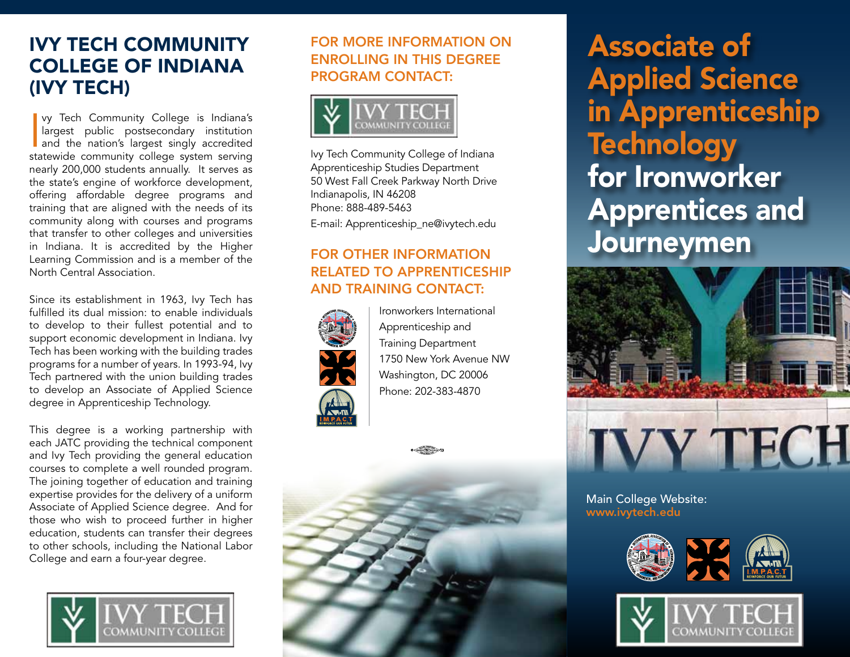## Ivy Tech Community College of Indiana (Ivy Tech)

vy Tech Community College is Indiana's<br>
largest public postsecondary institution<br>
and the nation's largest singly accredited<br>
statewide community college system serving vy Tech Community College is Indiana's largest public postsecondary institution and the nation's largest singly accredited nearly 200,000 students annually. It serves as the state's engine of workforce development, offering affordable degree programs and training that are aligned with the needs of its community along with courses and programs that transfer to other colleges and universities in Indiana. It is accredited by the Higher Learning Commission and is a member of the North Central Association.

Since its establishment in 1963, Ivy Tech has fulfilled its dual mission: to enable individuals to develop to their fullest potential and to support economic development in Indiana. Ivy Tech has been working with the building trades programs for a number of years. In 1993-94, Ivy Tech partnered with the union building trades to develop an Associate of Applied Science degree in Apprenticeship Technology.

This degree is a working partnership with each JATC providing the technical component and Ivy Tech providing the general education courses to complete a well rounded program. The joining together of education and training expertise provides for the delivery of a uniform Associate of Applied Science degree. And for those who wish to proceed further in higher education, students can transfer their degrees to other schools, including the National Labor College and earn a four-year degree.



### For more information on enrolling in this degree PROGRAM CONTACT:



Ivy Tech Community College of Indiana Apprenticeship Studies Department 50 West Fall Creek Parkway North Drive Indianapolis, IN 46208 Phone: 888-489-5463

E-mail: Apprenticeship\_ne@ivytech.edu

#### For other information related to apprenticeship and training contact:



Ironworkers International Apprenticeship and Training Department 1750 New York Avenue NW Washington, DC 20006 Phone: 202-383-4870



Associate of Applied Science in Apprenticeship **Technology** for Ironworker Apprentices and Journeymen



Main College Website: www.ivytech.edu